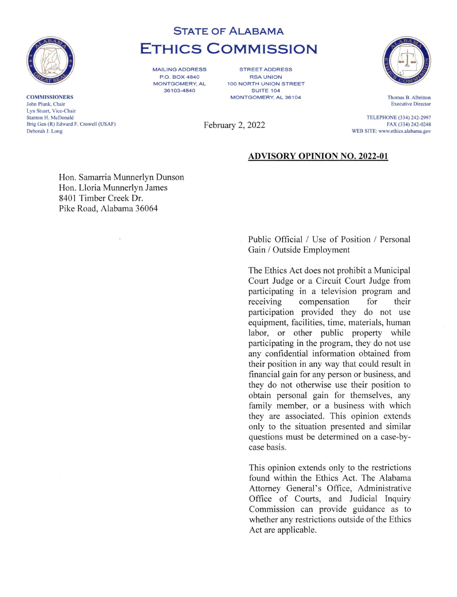

**COMMISSIONERS** John Plunk, Chair Lyn Stuart, Vice-Chair Stanton H. McDonald Brig Gen (R) Edward F. Crowell (USAF) Deborah J. Long

# STATE OF ALABAMA ETHICS COMMISSION

MAILING ADDRESS P.O. BOX 4840 MONTGOMERY, AL 36103-4840

STREET ADDRESS RSA UNION 100 NORTH UNION STREET SUITE 104 MONTGOMERY, AL 36104





Thomas B. Albritton Executive Director

TELEPHONE (334) 242-2997 FAX (334) 242-0248 WEB SITE: www.ethics.alabama.gov

# ADVISORY OPINION NO. 2022-01

Hon. Samarria Munnerlyn Dunson Hon. Lloria Munnerlyn James 8401 Timber Creek Dr. Pike Road, Alabama 36064

 $\ddot{\phantom{a}}$ 

Public Official / Use of Position / Personal Gain / Outside Employment

The Ethics Act does not prohibit a Municipal Court Judge or a Circuit Court Judge from participating in a television program and receiving compensation for their participation provided they do not use equipment, facilities, time, materials, human labor, or other public property while participating in the program, they do not use any confidential information obtained from their position in any way that could result in financial gain for any person or business, and they do not otherwise use their position to obtain personal gain for themselves, any family member, or a business with which they are associated. This opinion extends only to the situation presented and similar questions must be determined on a case-bycase basis.

This opinion extends only to the restrictions found within the Ethics Act. The Alabama Attorney General's Office, Administrative Office of Courts, and Judicial Inquiry Commission can provide guidance as to whether any restrictions outside of the Ethics Act are applicable.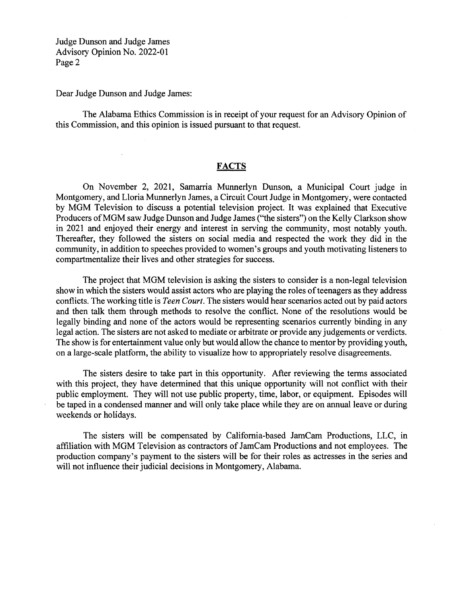Dear Judge Dunson and Judge James:

The Alabama Ethics Commission is in receipt of your request for an Advisory Opinion of this Commission, and this opinion is issued pursuant to that request.

## **FACTS**

On November 2, 2021, Samarria Munnerlyn Dunson, a Municipal Court judge in Montgomery, and Lloria Munnerlyn James, a Circuit Court Judge in Montgomery, were contacted by MGM Television to discuss a potential television project. It was explained that Executive Producers of MGM saw Judge Dunson and Judge James ("the sisters") on the Kelly Clarkson show in 2021 and enjoyed their energy and interest in serving the community, most notably youth. Thereafter, they followed the sisters on social media and respected the work they did in the community, in addition to speeches provided to women's groups and youth motivating listeners to compartmentalize their lives and other strategies for success.

The project that MGM television is asking the sisters to consider is a non-legal television show in which the sisters would assist actors who are playing the roles of teenagers as they address conflicts. The working title is Teen Court. The sisters would hear scenarios acted out by paid actors and then talk them through methods to resolve the conflict. None of the resolutions would be legally binding and none of the actors would be representing scenarios currently binding in any legal action. The sisters are not asked to mediate or arbitrate or provide any judgements or verdicts. The show is for entertainment value only but would allow the chance to mentor by providing youth, on a large-scale platform, the ability to visualize how to appropriately resolve disagreements.

The sisters desire to take part in this opportunity. After reviewing the terms associated with this project, they have determined that this unique opportunity will not conflict with their public employment. They will not use public property, time, labor, or equipment. Episodes will be taped in a condensed manner and will only take place while they are on annual leave or during weekends or holidays.

The sisters will be compensated by California-based JamCam Productions, LLC, in affiliation with MGM Television as contractors of JamCam Productions and not employees. The production company's payment to the sisters will be for their roles as actresses in the series and will not influence their judicial decisions in Montgomery, Alabama.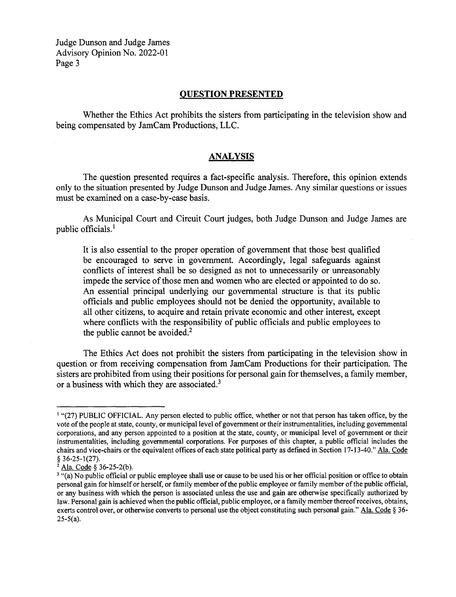#### QUESTION PRESENTED

Whether the Ethics Act prohibits the sisters from participating in the television show and being compensated by JamCam Productions, LLC.

#### ANALYSIS

The question presented requires a fact-specific analysis. Therefore, this opinion extends only to the situation presented by Judge Dunson and Judge James. Any similar questions or issues must be examined on a case-by-case basis.

As Municipal Court and Circuit Court judges, both Judge Dunson and Judge James are public officials.'

It is also essential to the proper operation of government that those best qualified be encouraged to serve in government. Accordingly, legal safeguards against conflicts of interest shall be so designed as not to unnecessarily or unreasonably impede the service of those men and women who are elected or appointed to do so. An essential principal underlying our governmental structure is that its public officials and public employees should not be denied the opportunity, available to all other citizens, to acquire and retain private economic and other interest, except where conflicts with the responsibility of public officials and public employees to the public cannot be avoided. $<sup>2</sup>$ </sup>

The Ethics Act does not prohibit the sisters from participating in the television show in question or from receiving compensation from JamCam Productions for their participation. The sisters are prohibited from using their positions for personal gain for themselves, a family member, or a business with which they are associated.<sup>3</sup>

<sup>&#</sup>x27; "(27) PUBLIC OFFICIAL. Any person elected to public office, whether or not that person has taken office, by the vote of the people at state, county, or municipal level of government or their instrumentalities, including governmental corporations, and any person appointed to a position at the state, county, or municipal level of government or their instrumentalities, including governmental corporations. For purposes of this chapter, a public official includes the chairs and vice-chairs or the equivalent offices of each state political party as defined in Section 17-13-40." Ala. Code § 36-25-1(27).

<sup>2</sup> Ala. Code § 36-25-2(b).

<sup>&</sup>lt;sup>3</sup> "(a) No public official or public employee shall use or cause to be used his or her official position or office to obtain personal gain for himself or herself, or family member of the public employee or family member of the public official, or any business with which the person is associated unless the use and gain are otherwise specifically authorized by law. Personal gain is achieved when the public official, public employee, or a family member thereof receives, obtains, exerts control over, or otherwise converts to personal use the object constituting such personal gain." Ala. Code § 36- $25-5(a)$ .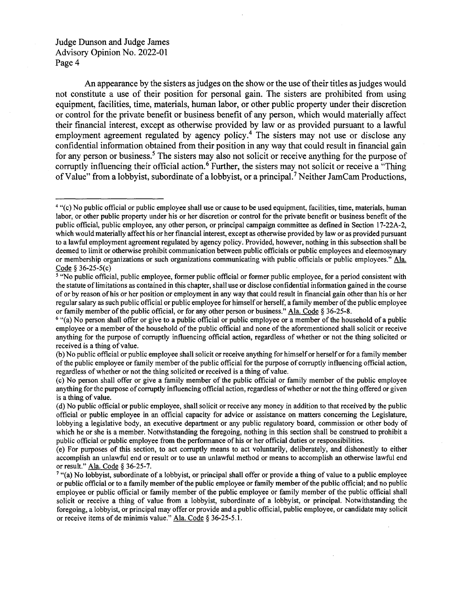An appearance by the sisters as judges on the show or the use of their titles as judges would not constitute a use of their position for personal gain. The sisters are prohibited from using equipment, facilities, time, materials, human labor, or other public property under their discretion or control for the private benefit or business benefit of any person, which would materially affect their financial interest, except as otherwise provided by law or as provided pursuant to a lawful employment agreement regulated by agency policy.<sup>4</sup> The sisters may not use or disclose any confidential information obtained from their position in any way that could result in financial gain for any person or business.<sup>5</sup> The sisters may also not solicit or receive anything for the purpose of corruptly influencing their official action.<sup>6</sup> Further, the sisters may not solicit or receive a "Thing" of Value" from a lobbyist, subordinate of a lobbyist, or a principal.<sup>7</sup> Neither JamCam Productions,

<sup>&</sup>lt;sup>4</sup> "(c) No public official or public employee shall use or cause to be used equipment, facilities, time, materials, human labor, or other public property under his or her discretion or control for the private benefit or business benefit of the public official, public employee, any other person, or principal campaign committee as defined in Section 17-22A-2, which would materially affect his or her financial interest, except as otherwise provided by law or as provided pursuant to a lawful employment agreement regulated by agency policy. Provided, however, nothing in this subsection shall be deemed to limit or otherwise prohibit communication between public officials or public employees and eleemosynary or membership organizations or such organizations communicating with public officials or public employees." Ala. Code § 36-25-5(c)

s "No public official, public employee, former public official or former public employee, for a period consistent with the statute of limitations as contained in this chapter, shall use or disclose confidential information gained in the course of or by reason of his or her position or employment in any way that could result in fmancial gain other than his or her regular salary as such public official or public employee for himself or herself, a family member of the public employee or family member of the public official, or for any other person or business." Ala. Code § 36-25-8.

<sup>&</sup>lt;sup>6</sup> "(a) No person shall offer or give to a public official or public employee or a member of the household of a public employee or a member of the household of the public official and none of the aforementioned shall solicit or receive anything for the purpose of corruptly influencing official action, regardless of whether or not the thing solicited or received is a thing of value.

<sup>(</sup>b) No public official or public employee shall solicit or receive anything for himself or herself or for a family member of the public employee or family member of the public official for the purpose of corruptly influencing official action, regardless of whether or not the thing solicited or received is a thing of value.

<sup>(</sup>c) No person shall offer or give a family member of the public official or family member of the public employee anything for the purpose of corruptly influencing official action, regardless of whether or not the thing offered or given is a thing of value.

<sup>(</sup>d) No public official or public employee, shall solicit or receive any money in addition to that received by the public official or public employee in an official capacity for advice or assistance on matters concerning the Legislature, lobbying a legislative body, an executive department or any public regulatory board, commission or other body of which he or she is a member. Notwithstanding the foregoing, nothing in this section shall be construed to prohibit a public official or public employee from the performance of his or her official duties or responsibilities.

<sup>(</sup>e) For purposes of this section, to act corruptly means to act voluntarily, deliberately, and dishonestly to either accomplish an unlawful end or result or to use an unlawful method or means to accomplish an otherwise lawful end or result." Ala. Code § 36-25-7.

 $^{\prime}$  "(a) No lobbyist, subordinate of a lobbyist, or principal shall offer or provide a thing of value to a public employee or public official or to a family member of the public employee or family member of the public official; and no public employee or public official or family member of the public employee or family member of the public official shall solicit or receive a thing of value from a lobbyist, subordinate of a lobbyist, or principal. Notwithstanding the foregoing, a lobbyist, or principal may offer or provide and a public official, public employee, or candidate may solicit or receive items of de minimis value." Ala. Code § 36-25-5.1.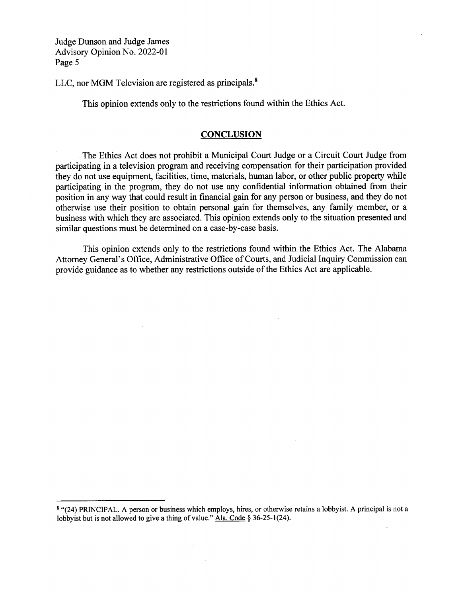LLC, nor MGM Television are registered as principals.<sup>8</sup>

This opinion extends only to the restrictions found within the Ethics Act.

#### **CONCLUSION**

The Ethics Act does not prohibit a Municipal Court Judge or a Circuit Court Judge from participating in a television program and receiving compensation for their participation provided they do not use equipment, facilities, time, materials, human labor, or other public property while participating in the program, they do not use any confidential information obtained from their position in any way that could result in financial gain for any person or business, and they do not otherwise use their position to obtain personal gain for themselves, any family member, or a business with which they are associated. This opinion extends only to the situation presented and similar questions must be determined on a case-by-case basis.

This opinion extends only to the restrictions found within the Ethics Act. The Alabama Attorney General's Office, Administrative Office of Courts, and Judicial Inquiry Commission can provide guidance as to whether any restrictions outside of the Ethics Act are applicable.

<sup>8</sup> "(24) PRINCIPAL. A person or business which employs, hires, or otherwise retains a lobbyist. A principal is not a lobbyist but is not allowed to give a thing of value." Ala. Code § 36-25-1(24).